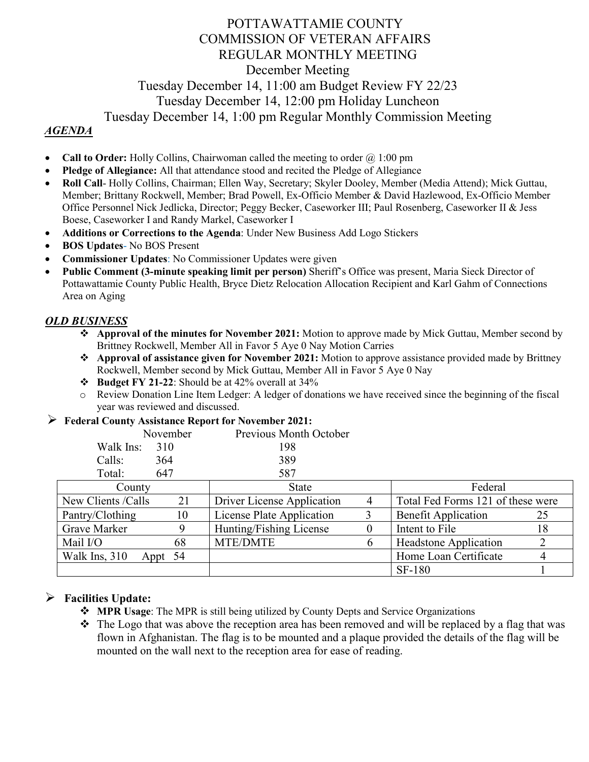# POTTAWATTAMIE COUNTY COMMISSION OF VETERAN AFFAIRS REGULAR MONTHLY MEETING December Meeting Tuesday December 14, 11:00 am Budget Review FY 22/23 Tuesday December 14, 12:00 pm Holiday Luncheon Tuesday December 14, 1:00 pm Regular Monthly Commission Meeting

### *AGENDA*

- **Call to Order:** Holly Collins, Chairwoman called the meeting to order  $\omega$  1:00 pm
- **Pledge of Allegiance:** All that attendance stood and recited the Pledge of Allegiance
- **Roll Call** Holly Collins, Chairman; Ellen Way, Secretary; Skyler Dooley, Member (Media Attend); Mick Guttau, Member; Brittany Rockwell, Member; Brad Powell, Ex-Officio Member & David Hazlewood, Ex-Officio Member Office Personnel Nick Jedlicka, Director; Peggy Becker, Caseworker III; Paul Rosenberg, Caseworker II & Jess Boese, Caseworker I and Randy Markel, Caseworker I
- **Additions or Corrections to the Agenda**: Under New Business Add Logo Stickers
- **BOS Updates** No BOS Present
- **Commissioner Updates**: No Commissioner Updates were given
- **Public Comment (3-minute speaking limit per person)** Sheriff's Office was present, Maria Sieck Director of Pottawattamie County Public Health, Bryce Dietz Relocation Allocation Recipient and Karl Gahm of Connections Area on Aging

#### *OLD BUSINESS*

- **Approval of the minutes for November 2021:** Motion to approve made by Mick Guttau, Member second by Brittney Rockwell, Member All in Favor 5 Aye 0 Nay Motion Carries
- **Approval of assistance given for November 2021:** Motion to approve assistance provided made by Brittney Rockwell, Member second by Mick Guttau, Member All in Favor 5 Aye 0 Nay
- **Budget FY 21-22**: Should be at 42% overall at 34%
- o Review Donation Line Item Ledger: A ledger of donations we have received since the beginning of the fiscal year was reviewed and discussed.

#### **Federal County Assistance Report for November 2021:**

| November         | Previous Month October |  |  |  |
|------------------|------------------------|--|--|--|
| Walk Ins:<br>310 | 198                    |  |  |  |
| 364              | 389                    |  |  |  |
| 647              | 587                    |  |  |  |
|                  |                        |  |  |  |

| 1 V UU I 1               |    | <u>JUI</u>                 |  |                                   |    |
|--------------------------|----|----------------------------|--|-----------------------------------|----|
| County                   |    | <b>State</b>               |  | Federal                           |    |
| New Clients / Calls      | 21 | Driver License Application |  | Total Fed Forms 121 of these were |    |
| Pantry/Clothing          | 10 | License Plate Application  |  | <b>Benefit Application</b>        |    |
| Grave Marker             |    | Hunting/Fishing License    |  | Intent to File                    | 18 |
| Mail I/O                 | 68 | <b>MTE/DMTE</b>            |  | <b>Headstone Application</b>      |    |
| Walk Ins, 310<br>Appt 54 |    |                            |  | Home Loan Certificate             |    |
|                          |    |                            |  | <b>SF-180</b>                     |    |

#### **Facilities Update:**

- **MPR Usage**: The MPR is still being utilized by County Depts and Service Organizations
- $\cdot \cdot$  The Logo that was above the reception area has been removed and will be replaced by a flag that was flown in Afghanistan. The flag is to be mounted and a plaque provided the details of the flag will be mounted on the wall next to the reception area for ease of reading.